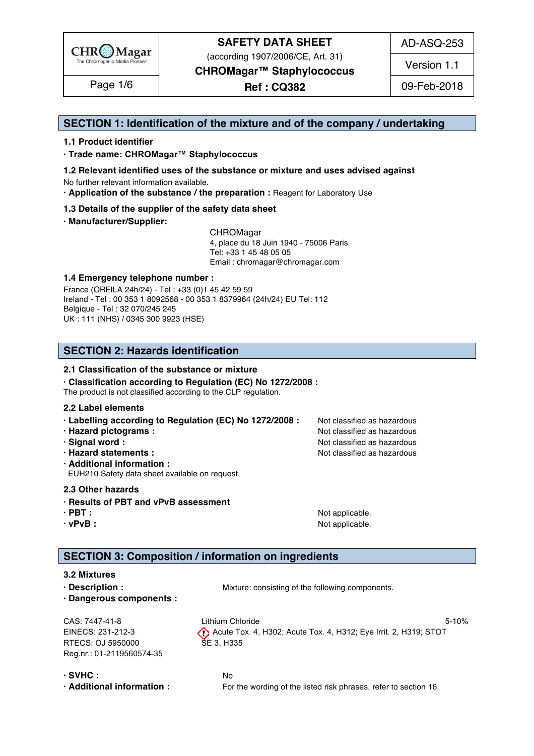

(according 1907/2006/CE, Art. 31)

AD-ASQ-253

Version 1.1

**CHROMagar™ Staphylococcus**

Page 1/6 | **Ref : CQ382** | 09-Feb-2018

### **SECTION 1: Identification of the mixture and of the company / undertaking** 1

### **1.1 Product identifier** 2

**· Trade name: CHROMagar™ Staphylococcus** 3

- **1.2 Relevant identified uses of the substance or mixture and uses advised against** 4 No further relevant information available. 5
- **· Application of the substance / the preparation :** Reagent for Laboratory Use 6

### **1.3 Details of the supplier of the safety data sheet** 7

**· Manufacturer/Supplier:** 8

CHROMagar 9 4, place du 18 Juin 1940 - 75006 Paris 10 Tel: +33 1 45 48 05 05 11 Email : chromagar@chromagar.com 12

### **1.4 Emergency telephone number :** 13

France (ORFILA 24h/24) - Tel: +33 (0)1 45 42 59 59 Ireland - Tel: 00 353 1 8092568 - 00 353 1 8379964 (24h/24) EU Tel: 112 Belgique - Tel : 32 070/245 245 16 UK : 111 (NHS) / 0345 300 9923 (HSE) 17

## **SECTION 2: Hazards identification** 20

### **2.1 Classification of the substance or mixture** 21

**· Classification according to Regulation (EC) No 1272/2008 :** 22

The product is not classified according to the CLP regulation.

### **2.2 Label elements** 24

- **· Labelling according to Regulation (EC) No 1272/2008 : Not classified as hazardous**
- **· Hazard pictograms :** Not classified as hazardous 26 and 26 and 26 and 26 and 26 and 26 and 26 and 26 and 26 and 26 and 26 and 26 and 26 and 26 and 26 and 26 and 26 and 26 and 26 and 26 and 26 and 26 and 26 and 26 and 26
- **· Signal word :** Not classified as hazardous 27 and 27 and 27 and 27 and 27 and 27 and 27 and 27 and 27 and 27 and 27 and 27 and 27 and 27 and 27 and 27 and 27 and 27 and 27 and 27 and 27 and 27 and 27 and 27 and 27 and 2
- **· Hazard statements :** Not classified as hazardous 28 and 28 and 28 and 28 and 28 and 28 and 28 and 28 and 28 and 28 and 28 and 28 and 28 and 28 and 28 and 28 and 28 and 28 and 28 and 28 and 28 and 28 and 28 and 28 and 28
- **· Additional information :** 29

EUH210 Safety data sheet available on request. 30

### **2.3 Other hazards** 31

- **· Results of PBT and vPvB assessment** 32
- 
- 

**· PBT : a** straight a straight and straight a straight of  $\mathbf{A}$  and  $\mathbf{B}$  are straight a straight and  $\mathbf{A}$  and  $\mathbf{A}$  are straight a straight and  $\mathbf{A}$  and  $\mathbf{A}$  are straight and  $\mathbf{A}$  and  $\mathbf{A}$ **· vPvB :**  $\blacksquare$  **:**  $\blacksquare$  **11**  $\blacksquare$  **11**  $\blacksquare$  **11**  $\blacksquare$  **11**  $\blacksquare$  **11**  $\blacksquare$  **11**  $\blacksquare$  **11**  $\blacksquare$  **11**  $\blacksquare$  **11**  $\blacksquare$  **11**  $\blacksquare$  **11**  $\blacksquare$  **11**  $\blacksquare$  **11**  $\blacksquare$  **11**  $\blacksquare$  **11**  $\blacksquare$  **11**  $\blacksquare$ 

### **SECTION 3: Composition / information on ingredients**

### **3.2 Mixtures** and the state of the state of the state of the state of the state of the state of the state of the state of the state of the state of the state of the state of the state of the state of the state of the stat

**• Description : Wixture: consisting of the following components.** 399 and 399 and 399 and 399 and 399 and 399 and 399 and 399 and 399 and 399 and 399 and 399 and 399 and 399 and 399 and 399 and 399 and 399 and 399 and 3 **· Dangerous components :** 40

RTECS: OJ 5950000 SE 3, H335 Reg.nr.: 01-2119560574-35

CAS: 7447-41-8 Lithium Chloride 5-10% EINECS: 231-212-3 Acute Tox. 4, H302; Acute Tox. 4, H312; Eye Irrit. 2, H319; STOT

**· SVHC :** No 43 **· Additional information :** For the wording of the listed risk phrases, refer to section 16. 44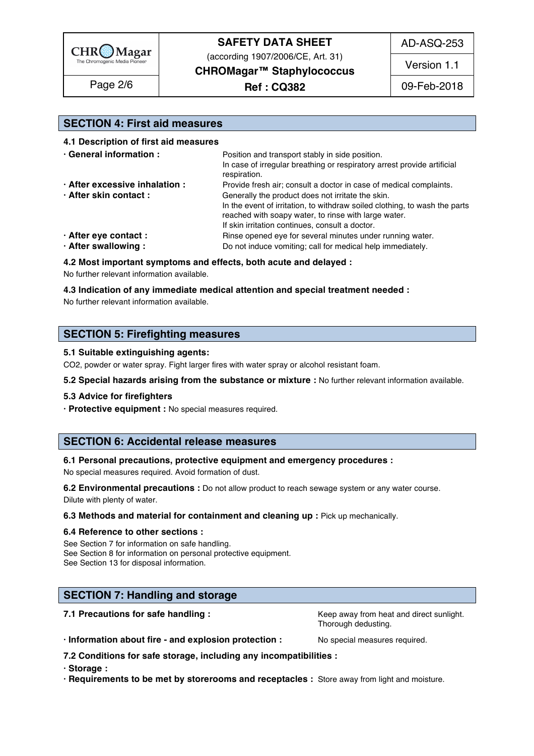

(according 1907/2006/CE, Art. 31)

**CHROMagar™ Staphylococcus**

AD-ASQ-253

Version 1.1

Page 2/6 | **Ref : CQ382** | 09-Feb-2018

### **SECTION 4: First aid measures** 45

### **4.1 Description of first aid measures** 46

| · General information :        | Position and transport stably in side position.                            |  |  |
|--------------------------------|----------------------------------------------------------------------------|--|--|
|                                | In case of irregular breathing or respiratory arrest provide artificial    |  |  |
|                                | respiration.                                                               |  |  |
| · After excessive inhalation : | Provide fresh air; consult a doctor in case of medical complaints.         |  |  |
| · After skin contact:          | Generally the product does not irritate the skin.                          |  |  |
|                                | In the event of irritation, to withdraw soiled clothing, to wash the parts |  |  |
|                                | reached with soapy water, to rinse with large water.                       |  |  |
|                                | If skin irritation continues, consult a doctor.                            |  |  |
| · After eye contact :          | Rinse opened eye for several minutes under running water.                  |  |  |
| · After swallowing:            | Do not induce vomiting; call for medical help immediately.                 |  |  |

### **4.2 Most important symptoms and effects, both acute and delayed :** 57

No further relevant information available. Superstanding the state of the state of the state of the state of the state of the state of the state of the state of the state of the state of the state of the state of the state

### **4.3 Indication of any immediate medical attention and special treatment needed :** 59

No further relevant information available.  $\blacksquare$ 

### **SECTION 5: Firefighting measures**

### **5.1 Suitable extinguishing agents:** 64

CO2, powder or water spray. Fight larger fires with water spray or alcohol resistant foam.

### **5.2 Special hazards arising from the substance or mixture :** No further relevant information available. 66

### **5.3 Advice for firefighters** 67

**· Protective equipment :** No special measures required. 68

### **SECTION 6: Accidental release measures**

### **6.1 Personal precautions, protective equipment and emergency procedures :** 72

No special measures required. Avoid formation of dust.

**6.2 Environmental precautions** : Do not allow product to reach sewage system or any water course. Dilute with plenty of water. The contract of the contract of the contract of the contract of the contract of the contract of the contract of the contract of the contract of the contract of the contract of the contract of t

### **6.3 Methods and material for containment and cleaning up : Pick up mechanically.**

### **6.4 Reference to other sections :** 77

See Section 7 for information on safe handling. See Section 8 for information on personal protective equipment. See Section 13 for disposal information. 80 and 20 and 20 and 20 and 20 and 20 and 20 and 20 and 20 and 20 and 20 and 20 and 20 and 20 and 20 and 20 and 20 and 20 and 20 and 20 and 20 and 20 and 20 and 20 and 20 and 20 and

## **SECTION 7: Handling and storage 833 Section 10 August 2010 12:30 SECTION 7: Handling and storage 833 Section 1**

**7.1 Precautions for safe handling : Keep away from heat and direct sunlight.** 84

Thorough dedusting. Thorough dedusting.

**· Information about fire - and explosion protection :** No special measures required. 86

**7.2 Conditions for safe storage, including any incompatibilities :** 87

**· Storage :** 88

**· Requirements to be met by storerooms and receptacles :** Store away from light and moisture. 89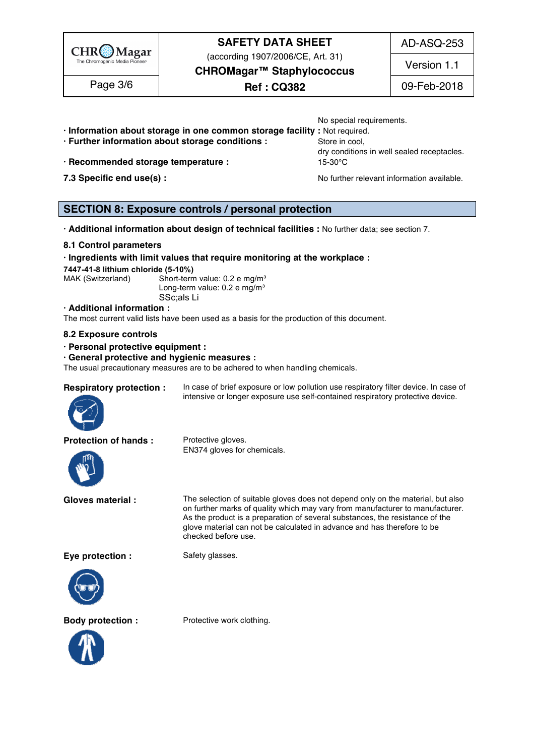

(according 1907/2006/CE, Art. 31)

AD-ASQ-253

**CHROMagar™ Staphylococcus**

Page 3/6  $\qquad \qquad$  **Ref : CQ382** 09-Feb-2018

Version 1.1

- No special requirements. **· Information about storage in one common storage facility :** Not required. 91
- **· Further information about storage conditions : Store in cool, 923 Store in cool,**
- **· Recommended storage temperature :** 15-30°C 94
- 

dry conditions in well sealed receptacles.

**7.3 Specific end use(s) : No further relevant information available.** 95

## **SECTION 8: Exposure controls / personal protection**

**· Additional information about design of technical facilities :** No further data; see section 7. 99

### **8.1 Control parameters** 100

### **· Ingredients with limit values that require monitoring at the workplace :** 101

**7447-41-8 lithium chloride (5-10%)** 102

MAK (Switzerland) Short-term value: 0.2 e mg/m $^{\rm a}$ Long-term value: 0.2 e mg/m $^3$ SSc;als Li 105 second la 105 second la 105 second la 105 second la 105 second la 105 second la 105 second la 1

#### **· Additional information :** 106

The most current valid lists have been used as a basis for the production of this document.

### **8.2 Exposure controls** 108

- **· Personal protective equipment :** 109
- **· General protective and hygienic measures :** 110

The usual precautionary measures are to be adhered to when handling chemicals.



**Respiratory protection :** In case of brief exposure or low pollution use respiratory filter device. In case of intensive or longer exposure use self-contained respiratory protective device.

**Protection of hands :** Protective gloves.



EN374 gloves for chemicals.

**Gloves material :** The selection of suitable gloves does not depend only on the material, but also on further marks of quality which may vary from manufacturer to manufacturer. As the product is a preparation of several substances, the resistance of the glove material can not be calculated in advance and has therefore to be checked before use.

**Eve protection :** Safety glasses.





**Body protection :** Protective work clothing.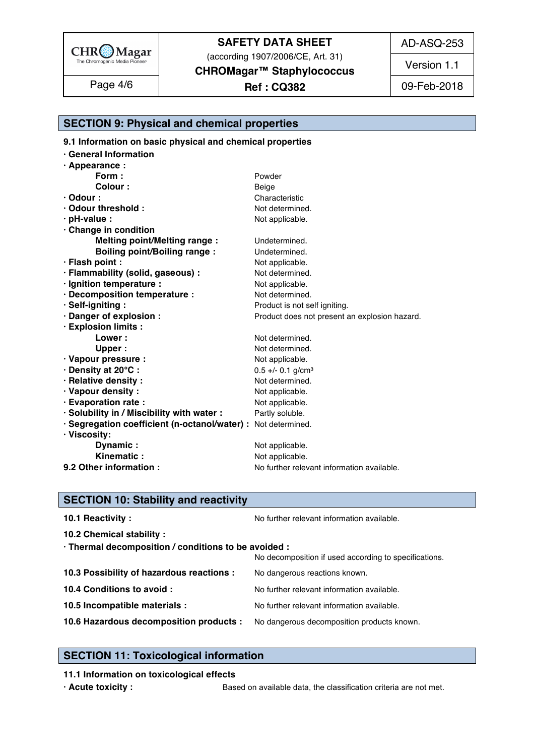

(according 1907/2006/CE, Art. 31)

AD-ASQ-253

Version 1.1

**CHROMagar™ Staphylococcus**

Page 4/6 | **Ref : CQ382** | 09-Feb-2018

# **SECTION 9: Physical and chemical properties**

**9.1 Information on basic physical and chemical properties** 

| <b>General Information</b>                                    |                                               |  |
|---------------------------------------------------------------|-----------------------------------------------|--|
| $\cdot$ Appearance :                                          |                                               |  |
| Form:                                                         | Powder                                        |  |
| Colour:                                                       | Beige                                         |  |
| $\cdot$ Odour :                                               | Characteristic                                |  |
| · Odour threshold :                                           | Not determined.                               |  |
| · pH-value :                                                  | Not applicable.                               |  |
| Change in condition                                           |                                               |  |
| <b>Melting point/Melting range:</b>                           | Undetermined.                                 |  |
| <b>Boiling point/Boiling range:</b>                           | Undetermined.                                 |  |
| · Flash point :                                               | Not applicable.                               |  |
| · Flammability (solid, gaseous) :                             | Not determined.                               |  |
| · Ignition temperature :                                      | Not applicable.                               |  |
| · Decomposition temperature :                                 | Not determined.                               |  |
| · Self-igniting:                                              | Product is not self igniting.                 |  |
| · Danger of explosion :                                       | Product does not present an explosion hazard. |  |
| · Explosion limits :                                          |                                               |  |
| Lower:                                                        | Not determined.                               |  |
| Upper:                                                        | Not determined.                               |  |
| · Vapour pressure :                                           | Not applicable.                               |  |
| · Density at 20°C:                                            | $0.5 +/- 0.1$ g/cm <sup>3</sup>               |  |
| · Relative density :                                          | Not determined.                               |  |
| · Vapour density:                                             | Not applicable.                               |  |
| · Evaporation rate :                                          | Not applicable.                               |  |
| · Solubility in / Miscibility with water :                    | Partly soluble.                               |  |
| · Segregation coefficient (n-octanol/water) : Not determined. |                                               |  |
| · Viscosity:                                                  |                                               |  |
| Dynamic:                                                      | Not applicable.                               |  |
| Kinematic                                                     | Not applicable.                               |  |
| 9.2 Other information :                                       | No further relevant information available.    |  |

## **SECTION 10: Stability and reactivity**

| 10.1 Reactivity:                                                                   | No further relevant information available.            |
|------------------------------------------------------------------------------------|-------------------------------------------------------|
| 10.2 Chemical stability :                                                          |                                                       |
| · Thermal decomposition / conditions to be avoided :                               |                                                       |
|                                                                                    | No decomposition if used according to specifications. |
| 10.3 Possibility of hazardous reactions :                                          | No dangerous reactions known.                         |
| 10.4 Conditions to avoid :                                                         | No further relevant information available.            |
| 10.5 Incompatible materials :                                                      | No further relevant information available.            |
| 10.6 Hazardous decomposition products : No dangerous decomposition products known. |                                                       |
|                                                                                    |                                                       |

## **SECTION 11: Toxicological information**

### **11.1 Information on toxicological effects**

**· Acute toxicity :** Based on available data, the classification criteria are not met.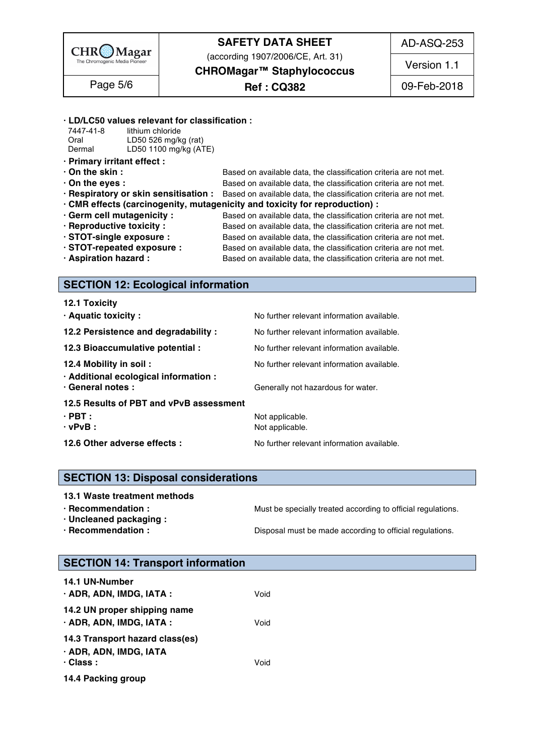

(according 1907/2006/CE, Art. 31)

AD-ASQ-253

Version 1.1

**CHROMagar™ Staphylococcus**

**Ref : CQ382** Page 5/6 09-Feb-2018

### **· LD/LC50 values relevant for classification :** 163

| 7447-41-8 | lithium chloride      |  |
|-----------|-----------------------|--|
| Oral      | LD50 526 mg/kg (rat)  |  |
| Dermal    | LD50 1100 mg/kg (ATE) |  |

- **· Primary irritant effect :** 167
- 
- 

**· On the skin : b** Based on available data, the classification criteria are not met. **• On the eyes : by Example 2018 Based on available data, the classification criteria are not met. · Respiratory or skin sensitisation :** Based on available data, the classification criteria are not met.

- **· CMR effects (carcinogenity, mutagenicity and toxicity for reproduction) :** 171
- **· Germ cell mutagenicity :** Based on available data, the classification criteria are not met.
- 
- 

**· Reproductive toxicity :** Based on available data, the classification criteria are not met. **· STOT-single exposure :** Based on available data, the classification criteria are not met. **· STOT-repeated exposure :** Based on available data, the classification criteria are not met.

**· Aspiration hazard :** Based on available data, the classification criteria are not met.

### **SECTION 12: Ecological information**

| 12.1 Toxicity                                              |                                            |
|------------------------------------------------------------|--------------------------------------------|
| · Aquatic toxicity:                                        | No further relevant information available. |
| 12.2 Persistence and degradability :                       | No further relevant information available. |
| 12.3 Bioaccumulative potential :                           | No further relevant information available. |
| 12.4 Mobility in soil:                                     | No further relevant information available. |
| · Additional ecological information :<br>· General notes : | Generally not hazardous for water.         |
| 12.5 Results of PBT and vPvB assessment                    |                                            |
| $\cdot$ PBT :                                              | Not applicable.                            |
| $\cdot$ vPvB :                                             | Not applicable.                            |
| 12.6 Other adverse effects :                               | No further relevant information available. |

## **SECTION 13: Disposal considerations**

- **13.1 Waste treatment methods in a set of the set of the set of the set of the set of the set of the set of the set of the set of the set of the set of the set of the set of the set of the set of the set of the set of the**
- 
- **· Uncleaned packaging :** 195
- 

**· Recommendation : Must be specially treated according to official regulations.** 1940

**· Recommendation : Disposal must be made according to official regulations.** 

## **SECTION 14: Transport information**

| 14.1 UN-Number                                                               |      |  |  |
|------------------------------------------------------------------------------|------|--|--|
| · ADR, ADN, IMDG, IATA :                                                     | Void |  |  |
| 14.2 UN proper shipping name<br>· ADR, ADN, IMDG, IATA :                     | Void |  |  |
| 14.3 Transport hazard class(es)<br>· ADR, ADN, IMDG, IATA<br>$\cdot$ Class : | Void |  |  |
| 14.4 Packing group                                                           |      |  |  |